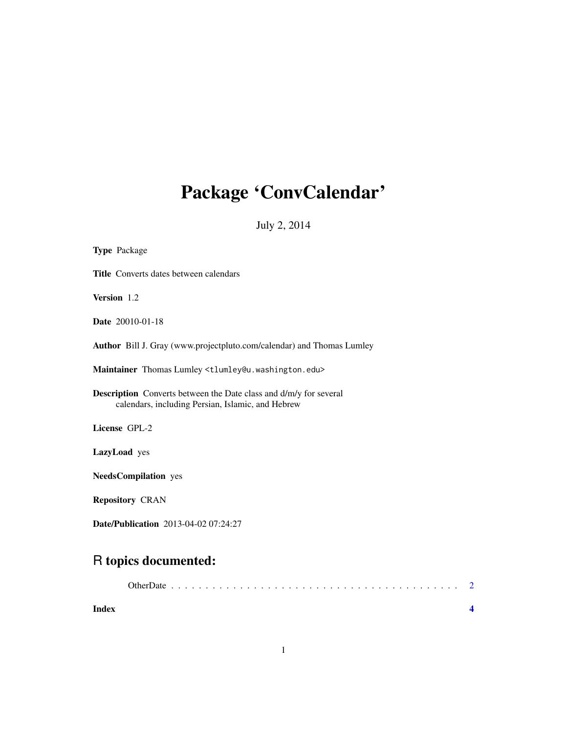# <span id="page-0-0"></span>Package 'ConvCalendar'

July 2, 2014

| <b>Type Package</b>                                                                                                           |
|-------------------------------------------------------------------------------------------------------------------------------|
| <b>Title</b> Converts dates between calendars                                                                                 |
| Version 1.2                                                                                                                   |
| <b>Date</b> 20010-01-18                                                                                                       |
| Author Bill J. Gray (www.projectpluto.com/calendar) and Thomas Lumley                                                         |
| Maintainer Thomas Lumley <tlumley@u.washington.edu></tlumley@u.washington.edu>                                                |
| <b>Description</b> Converts between the Date class and d/m/y for several<br>calendars, including Persian, Islamic, and Hebrew |
| License GPL-2                                                                                                                 |
| LazyLoad yes                                                                                                                  |
| <b>NeedsCompilation</b> yes                                                                                                   |
| <b>Repository CRAN</b>                                                                                                        |
| <b>Date/Publication</b> 2013-04-02 07:24:27                                                                                   |

# R topics documented:

| Index |  |
|-------|--|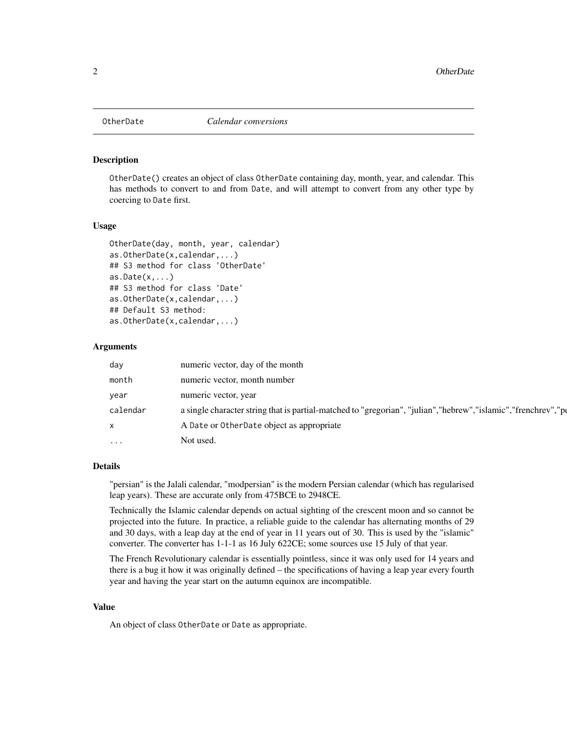<span id="page-1-0"></span>

#### **Description**

OtherDate() creates an object of class OtherDate containing day, month, year, and calendar. This has methods to convert to and from Date, and will attempt to convert from any other type by coercing to Date first.

#### Usage

```
OtherDate(day, month, year, calendar)
as.OtherDate(x,calendar,...)
## S3 method for class 'OtherDate'
as.Date(x,...)## S3 method for class 'Date'
as.OtherDate(x,calendar,...)
## Default S3 method:
as.OtherDate(x,calendar,...)
```
#### Arguments

| day                     | numeric vector, day of the month                                                                                  |
|-------------------------|-------------------------------------------------------------------------------------------------------------------|
| month                   | numeric vector, month number                                                                                      |
| year                    | numeric vector, year                                                                                              |
| calendar                | a single character string that is partial-matched to "gregorian", "julian", "hebrew", "islamic", "frenchrev", "pe |
| X                       | A Date or OtherDate object as appropriate                                                                         |
| $\cdot$ $\cdot$ $\cdot$ | Not used.                                                                                                         |

#### Details

"persian" is the Jalali calendar, "modpersian" is the modern Persian calendar (which has regularised leap years). These are accurate only from 475BCE to 2948CE.

Technically the Islamic calendar depends on actual sighting of the crescent moon and so cannot be projected into the future. In practice, a reliable guide to the calendar has alternating months of 29 and 30 days, with a leap day at the end of year in 11 years out of 30. This is used by the "islamic" converter. The converter has 1-1-1 as 16 July 622CE; some sources use 15 July of that year.

The French Revolutionary calendar is essentially pointless, since it was only used for 14 years and there is a bug it how it was originally defined – the specifications of having a leap year every fourth year and having the year start on the autumn equinox are incompatible.

## Value

An object of class OtherDate or Date as appropriate.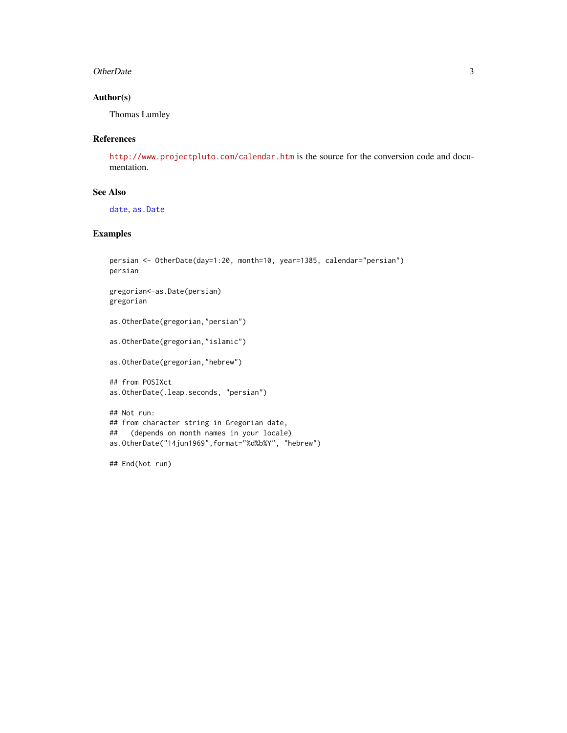#### <span id="page-2-0"></span>OtherDate 3

## Author(s)

Thomas Lumley

#### References

<http://www.projectpluto.com/calendar.htm> is the source for the conversion code and documentation.

## See Also

[date](#page-0-0), [as.Date](#page-0-0)

# Examples

```
persian <- OtherDate(day=1:20, month=10, year=1385, calendar="persian")
persian
gregorian<-as.Date(persian)
gregorian
as.OtherDate(gregorian,"persian")
as.OtherDate(gregorian,"islamic")
as.OtherDate(gregorian,"hebrew")
## from POSIXct
as.OtherDate(.leap.seconds, "persian")
## Not run:
## from character string in Gregorian date,
## (depends on month names in your locale)
as.OtherDate("14jun1969",format="%d%b%Y", "hebrew")
```
## End(Not run)